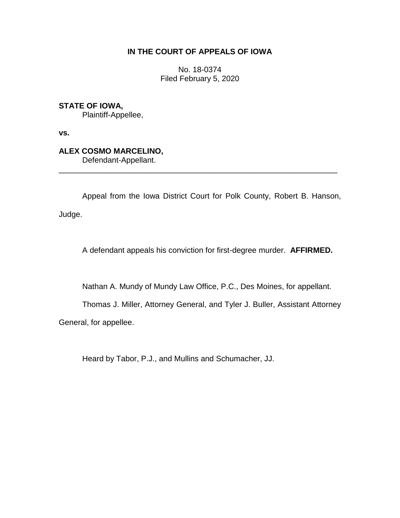# **IN THE COURT OF APPEALS OF IOWA**

No. 18-0374 Filed February 5, 2020

**STATE OF IOWA,**

Plaintiff-Appellee,

**vs.**

# **ALEX COSMO MARCELINO,**

Defendant-Appellant.

Appeal from the Iowa District Court for Polk County, Robert B. Hanson, Judge.

\_\_\_\_\_\_\_\_\_\_\_\_\_\_\_\_\_\_\_\_\_\_\_\_\_\_\_\_\_\_\_\_\_\_\_\_\_\_\_\_\_\_\_\_\_\_\_\_\_\_\_\_\_\_\_\_\_\_\_\_\_\_\_\_

A defendant appeals his conviction for first-degree murder. **AFFIRMED.**

Nathan A. Mundy of Mundy Law Office, P.C., Des Moines, for appellant.

Thomas J. Miller, Attorney General, and Tyler J. Buller, Assistant Attorney

General, for appellee.

Heard by Tabor, P.J., and Mullins and Schumacher, JJ.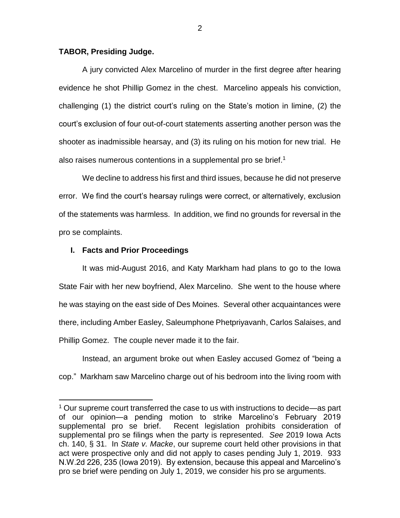# **TABOR, Presiding Judge.**

A jury convicted Alex Marcelino of murder in the first degree after hearing evidence he shot Phillip Gomez in the chest. Marcelino appeals his conviction, challenging (1) the district court's ruling on the State's motion in limine, (2) the court's exclusion of four out-of-court statements asserting another person was the shooter as inadmissible hearsay, and (3) its ruling on his motion for new trial. He also raises numerous contentions in a supplemental pro se brief.<sup>1</sup>

We decline to address his first and third issues, because he did not preserve error. We find the court's hearsay rulings were correct, or alternatively, exclusion of the statements was harmless. In addition, we find no grounds for reversal in the pro se complaints.

# **I. Facts and Prior Proceedings**

 $\overline{a}$ 

It was mid-August 2016, and Katy Markham had plans to go to the Iowa State Fair with her new boyfriend, Alex Marcelino. She went to the house where he was staying on the east side of Des Moines. Several other acquaintances were there, including Amber Easley, Saleumphone Phetpriyavanh, Carlos Salaises, and Phillip Gomez. The couple never made it to the fair.

Instead, an argument broke out when Easley accused Gomez of "being a cop." Markham saw Marcelino charge out of his bedroom into the living room with

<sup>&</sup>lt;sup>1</sup> Our supreme court transferred the case to us with instructions to decide—as part of our opinion—a pending motion to strike Marcelino's February 2019 supplemental pro se brief. Recent legislation prohibits consideration of supplemental pro se filings when the party is represented. *See* 2019 Iowa Acts ch. 140, § 31. In *State v. Macke*, our supreme court held other provisions in that act were prospective only and did not apply to cases pending July 1, 2019. 933 N.W.2d 226, 235 (Iowa 2019). By extension, because this appeal and Marcelino's pro se brief were pending on July 1, 2019, we consider his pro se arguments.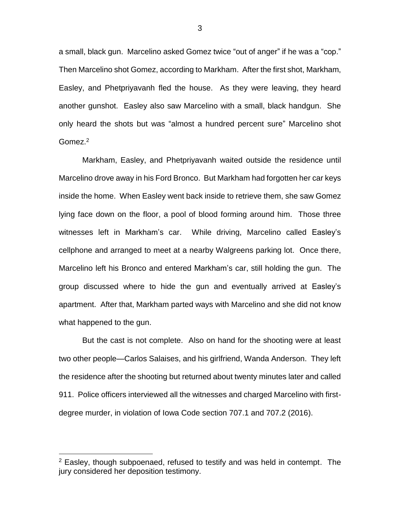a small, black gun. Marcelino asked Gomez twice "out of anger" if he was a "cop." Then Marcelino shot Gomez, according to Markham. After the first shot, Markham, Easley, and Phetpriyavanh fled the house. As they were leaving, they heard another gunshot. Easley also saw Marcelino with a small, black handgun. She only heard the shots but was "almost a hundred percent sure" Marcelino shot Gomez.<sup>2</sup>

Markham, Easley, and Phetpriyavanh waited outside the residence until Marcelino drove away in his Ford Bronco. But Markham had forgotten her car keys inside the home. When Easley went back inside to retrieve them, she saw Gomez lying face down on the floor, a pool of blood forming around him. Those three witnesses left in Markham's car. While driving, Marcelino called Easley's cellphone and arranged to meet at a nearby Walgreens parking lot. Once there, Marcelino left his Bronco and entered Markham's car, still holding the gun. The group discussed where to hide the gun and eventually arrived at Easley's apartment. After that, Markham parted ways with Marcelino and she did not know what happened to the gun.

But the cast is not complete. Also on hand for the shooting were at least two other people—Carlos Salaises, and his girlfriend, Wanda Anderson. They left the residence after the shooting but returned about twenty minutes later and called 911. Police officers interviewed all the witnesses and charged Marcelino with firstdegree murder, in violation of Iowa Code section 707.1 and 707.2 (2016).

 $2$  Easley, though subpoenaed, refused to testify and was held in contempt. The jury considered her deposition testimony.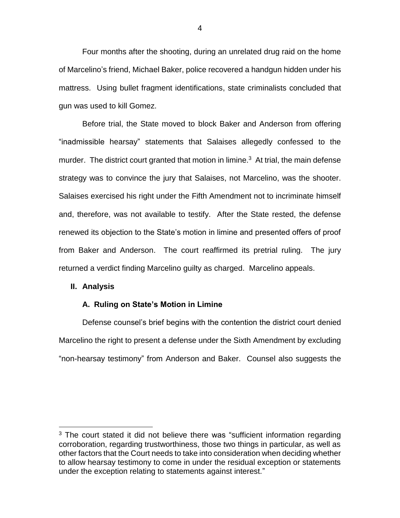Four months after the shooting, during an unrelated drug raid on the home of Marcelino's friend, Michael Baker, police recovered a handgun hidden under his mattress. Using bullet fragment identifications, state criminalists concluded that gun was used to kill Gomez.

Before trial, the State moved to block Baker and Anderson from offering "inadmissible hearsay" statements that Salaises allegedly confessed to the murder. The district court granted that motion in limine.<sup>3</sup> At trial, the main defense strategy was to convince the jury that Salaises, not Marcelino, was the shooter. Salaises exercised his right under the Fifth Amendment not to incriminate himself and, therefore, was not available to testify. After the State rested, the defense renewed its objection to the State's motion in limine and presented offers of proof from Baker and Anderson. The court reaffirmed its pretrial ruling. The jury returned a verdict finding Marcelino guilty as charged. Marcelino appeals.

#### **II. Analysis**

 $\overline{a}$ 

#### **A. Ruling on State's Motion in Limine**

Defense counsel's brief begins with the contention the district court denied Marcelino the right to present a defense under the Sixth Amendment by excluding "non-hearsay testimony" from Anderson and Baker. Counsel also suggests the

<sup>&</sup>lt;sup>3</sup> The court stated it did not believe there was "sufficient information regarding corroboration, regarding trustworthiness, those two things in particular, as well as other factors that the Court needs to take into consideration when deciding whether to allow hearsay testimony to come in under the residual exception or statements under the exception relating to statements against interest."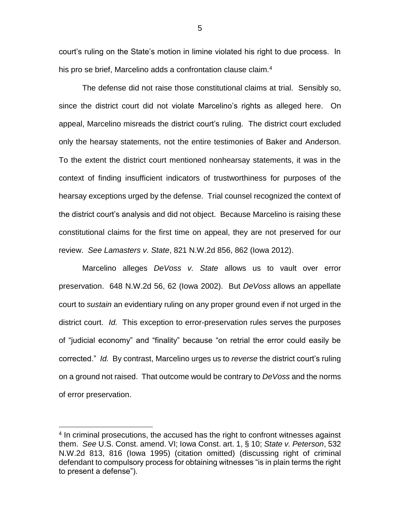court's ruling on the State's motion in limine violated his right to due process. In his pro se brief, Marcelino adds a confrontation clause claim.<sup>4</sup>

The defense did not raise those constitutional claims at trial. Sensibly so, since the district court did not violate Marcelino's rights as alleged here. On appeal, Marcelino misreads the district court's ruling. The district court excluded only the hearsay statements, not the entire testimonies of Baker and Anderson. To the extent the district court mentioned nonhearsay statements, it was in the context of finding insufficient indicators of trustworthiness for purposes of the hearsay exceptions urged by the defense. Trial counsel recognized the context of the district court's analysis and did not object. Because Marcelino is raising these constitutional claims for the first time on appeal, they are not preserved for our review. *See Lamasters v. State*, 821 N.W.2d 856, 862 (Iowa 2012).

Marcelino alleges *DeVoss v. State* allows us to vault over error preservation. 648 N.W.2d 56, 62 (Iowa 2002). But *DeVoss* allows an appellate court to *sustain* an evidentiary ruling on any proper ground even if not urged in the district court. *Id.* This exception to error-preservation rules serves the purposes of "judicial economy" and "finality" because "on retrial the error could easily be corrected." *Id.* By contrast, Marcelino urges us to *reverse* the district court's ruling on a ground not raised. That outcome would be contrary to *DeVoss* and the norms of error preservation.

 $\overline{a}$ 

5

<sup>&</sup>lt;sup>4</sup> In criminal prosecutions, the accused has the right to confront witnesses against them. *See* U.S. Const. amend. VI; Iowa Const. art. 1, § 10; *State v. Peterson*, 532 N.W.2d 813, 816 (Iowa 1995) (citation omitted) (discussing right of criminal defendant to compulsory process for obtaining witnesses "is in plain terms the right to present a defense").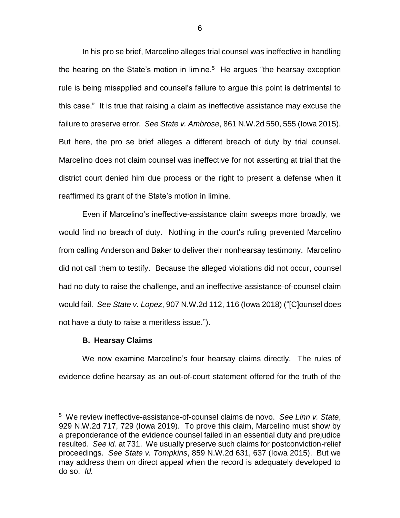In his pro se brief, Marcelino alleges trial counsel was ineffective in handling the hearing on the State's motion in limine. $5$  He argues "the hearsay exception rule is being misapplied and counsel's failure to argue this point is detrimental to this case." It is true that raising a claim as ineffective assistance may excuse the failure to preserve error. *See State v. Ambrose*, 861 N.W.2d 550, 555 (Iowa 2015). But here, the pro se brief alleges a different breach of duty by trial counsel. Marcelino does not claim counsel was ineffective for not asserting at trial that the district court denied him due process or the right to present a defense when it reaffirmed its grant of the State's motion in limine.

Even if Marcelino's ineffective-assistance claim sweeps more broadly, we would find no breach of duty. Nothing in the court's ruling prevented Marcelino from calling Anderson and Baker to deliver their nonhearsay testimony. Marcelino did not call them to testify. Because the alleged violations did not occur, counsel had no duty to raise the challenge, and an ineffective-assistance-of-counsel claim would fail. *See State v. Lopez*, 907 N.W.2d 112, 116 (Iowa 2018) ("[C]ounsel does not have a duty to raise a meritless issue.").

#### **B. Hearsay Claims**

 $\overline{a}$ 

We now examine Marcelino's four hearsay claims directly. The rules of evidence define hearsay as an out-of-court statement offered for the truth of the

<sup>5</sup> We review ineffective-assistance-of-counsel claims de novo. *See Linn v. State*, 929 N.W.2d 717, 729 (Iowa 2019). To prove this claim, Marcelino must show by a preponderance of the evidence counsel failed in an essential duty and prejudice resulted. *See id.* at 731. We usually preserve such claims for postconviction-relief proceedings. *See State v. Tompkins*, 859 N.W.2d 631, 637 (Iowa 2015). But we may address them on direct appeal when the record is adequately developed to do so. *Id.*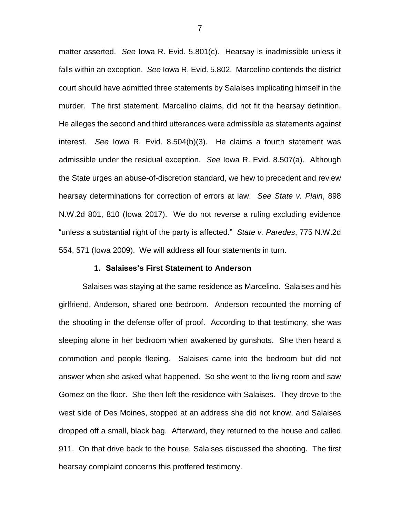matter asserted. *See* Iowa R. Evid. 5.801(c). Hearsay is inadmissible unless it falls within an exception. *See* Iowa R. Evid. 5.802. Marcelino contends the district court should have admitted three statements by Salaises implicating himself in the murder. The first statement, Marcelino claims, did not fit the hearsay definition. He alleges the second and third utterances were admissible as statements against interest. *See* Iowa R. Evid. 8.504(b)(3). He claims a fourth statement was admissible under the residual exception. *See* Iowa R. Evid. 8.507(a). Although the State urges an abuse-of-discretion standard, we hew to precedent and review hearsay determinations for correction of errors at law. *See State v. Plain*, 898 N.W.2d 801, 810 (Iowa 2017). We do not reverse a ruling excluding evidence "unless a substantial right of the party is affected." *State v. Paredes*, 775 N.W.2d 554, 571 (Iowa 2009). We will address all four statements in turn.

# **1. Salaises's First Statement to Anderson**

Salaises was staying at the same residence as Marcelino. Salaises and his girlfriend, Anderson, shared one bedroom. Anderson recounted the morning of the shooting in the defense offer of proof. According to that testimony, she was sleeping alone in her bedroom when awakened by gunshots. She then heard a commotion and people fleeing. Salaises came into the bedroom but did not answer when she asked what happened. So she went to the living room and saw Gomez on the floor. She then left the residence with Salaises. They drove to the west side of Des Moines, stopped at an address she did not know, and Salaises dropped off a small, black bag. Afterward, they returned to the house and called 911. On that drive back to the house, Salaises discussed the shooting. The first hearsay complaint concerns this proffered testimony.

7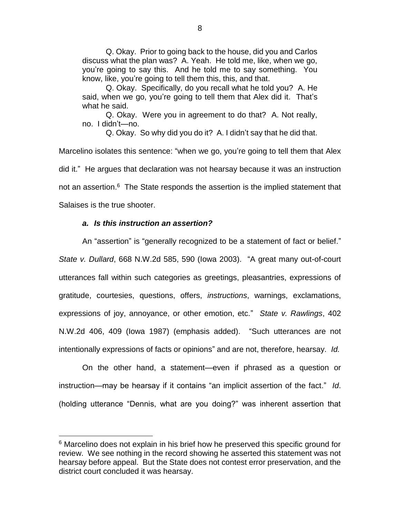Q. Okay. Prior to going back to the house, did you and Carlos discuss what the plan was? A. Yeah. He told me, like, when we go, you're going to say this. And he told me to say something. You know, like, you're going to tell them this, this, and that.

Q. Okay. Specifically, do you recall what he told you? A. He said, when we go, you're going to tell them that Alex did it. That's what he said.

Q. Okay. Were you in agreement to do that? A. Not really, no. I didn't—no.

Q. Okay. So why did you do it? A. I didn't say that he did that.

Marcelino isolates this sentence: "when we go, you're going to tell them that Alex did it." He argues that declaration was not hearsay because it was an instruction not an assertion.<sup>6</sup> The State responds the assertion is the implied statement that Salaises is the true shooter.

# *a. Is this instruction an assertion?*

 $\overline{a}$ 

An "assertion" is "generally recognized to be a statement of fact or belief." *State v. Dullard*, 668 N.W.2d 585, 590 (Iowa 2003). "A great many out-of-court utterances fall within such categories as greetings, pleasantries, expressions of gratitude, courtesies, questions, offers, *instructions*, warnings, exclamations, expressions of joy, annoyance, or other emotion, etc." *State v. Rawlings*, 402 N.W.2d 406, 409 (Iowa 1987) (emphasis added). "Such utterances are not intentionally expressions of facts or opinions" and are not, therefore, hearsay. *Id.*

On the other hand, a statement—even if phrased as a question or instruction—may be hearsay if it contains "an implicit assertion of the fact." *Id*. (holding utterance "Dennis, what are you doing?" was inherent assertion that

<sup>&</sup>lt;sup>6</sup> Marcelino does not explain in his brief how he preserved this specific ground for review. We see nothing in the record showing he asserted this statement was not hearsay before appeal. But the State does not contest error preservation, and the district court concluded it was hearsay.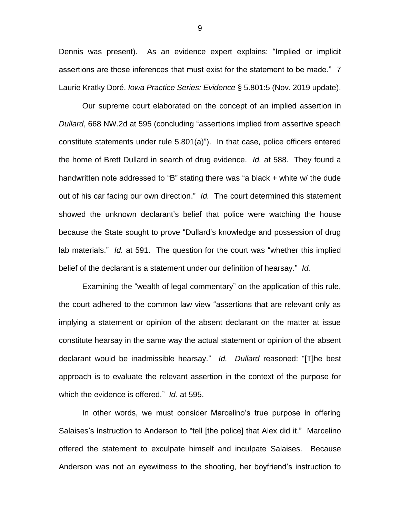Dennis was present). As an evidence expert explains: "Implied or implicit assertions are those inferences that must exist for the statement to be made." 7 Laurie Kratky Doré, *Iowa Practice Series: Evidence* § 5.801:5 (Nov. 2019 update).

Our supreme court elaborated on the concept of an implied assertion in *Dullard*, 668 NW.2d at 595 (concluding "assertions implied from assertive speech constitute statements under rule 5.801(a)"). In that case, police officers entered the home of Brett Dullard in search of drug evidence. *Id.* at 588. They found a handwritten note addressed to "B" stating there was "a black + white w/ the dude out of his car facing our own direction." *Id.* The court determined this statement showed the unknown declarant's belief that police were watching the house because the State sought to prove "Dullard's knowledge and possession of drug lab materials." *Id.* at 591. The question for the court was "whether this implied belief of the declarant is a statement under our definition of hearsay." *Id.*

Examining the "wealth of legal commentary" on the application of this rule, the court adhered to the common law view "assertions that are relevant only as implying a statement or opinion of the absent declarant on the matter at issue constitute hearsay in the same way the actual statement or opinion of the absent declarant would be inadmissible hearsay." *Id. Dullard* reasoned: "[T]he best approach is to evaluate the relevant assertion in the context of the purpose for which the evidence is offered." *Id.* at 595.

In other words, we must consider Marcelino's true purpose in offering Salaises's instruction to Anderson to "tell [the police] that Alex did it." Marcelino offered the statement to exculpate himself and inculpate Salaises. Because Anderson was not an eyewitness to the shooting, her boyfriend's instruction to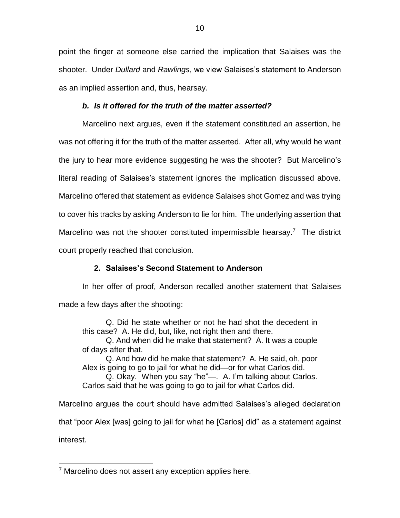point the finger at someone else carried the implication that Salaises was the shooter. Under *Dullard* and *Rawlings*, we view Salaises's statement to Anderson as an implied assertion and, thus, hearsay.

# *b. Is it offered for the truth of the matter asserted?*

Marcelino next argues, even if the statement constituted an assertion, he was not offering it for the truth of the matter asserted. After all, why would he want the jury to hear more evidence suggesting he was the shooter? But Marcelino's literal reading of Salaises's statement ignores the implication discussed above. Marcelino offered that statement as evidence Salaises shot Gomez and was trying to cover his tracks by asking Anderson to lie for him. The underlying assertion that Marcelino was not the shooter constituted impermissible hearsay.<sup>7</sup> The district court properly reached that conclusion.

# **2. Salaises's Second Statement to Anderson**

In her offer of proof, Anderson recalled another statement that Salaises made a few days after the shooting:

Q. Did he state whether or not he had shot the decedent in this case? A. He did, but, like, not right then and there.

Q. And when did he make that statement? A. It was a couple of days after that.

Q. And how did he make that statement? A. He said, oh, poor Alex is going to go to jail for what he did—or for what Carlos did.

Q. Okay. When you say "he"—. A. I'm talking about Carlos. Carlos said that he was going to go to jail for what Carlos did.

Marcelino argues the court should have admitted Salaises's alleged declaration that "poor Alex [was] going to jail for what he [Carlos] did" as a statement against interest.

<sup>&</sup>lt;sup>7</sup> Marcelino does not assert any exception applies here.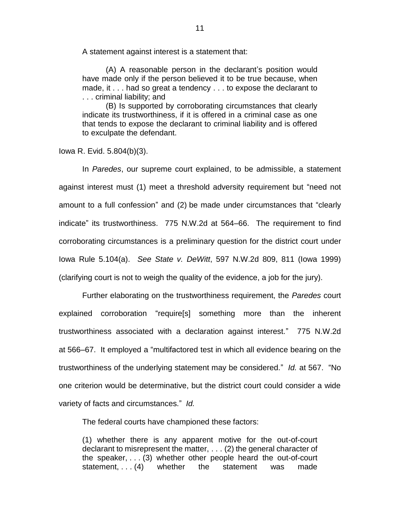A statement against interest is a statement that:

(A) A reasonable person in the declarant's position would have made only if the person believed it to be true because, when made, it . . . had so great a tendency . . . to expose the declarant to . . . criminal liability; and

(B) Is supported by corroborating circumstances that clearly indicate its trustworthiness, if it is offered in a criminal case as one that tends to expose the declarant to criminal liability and is offered to exculpate the defendant.

Iowa R. Evid. 5.804(b)(3).

In *Paredes*, our supreme court explained, to be admissible, a statement against interest must (1) meet a threshold adversity requirement but "need not amount to a full confession" and (2) be made under circumstances that "clearly indicate" its trustworthiness. 775 N.W.2d at 564–66. The requirement to find corroborating circumstances is a preliminary question for the district court under Iowa Rule 5.104(a). *See State v. DeWitt*, 597 N.W.2d 809, 811 (Iowa 1999) (clarifying court is not to weigh the quality of the evidence, a job for the jury).

Further elaborating on the trustworthiness requirement, the *Paredes* court explained corroboration "require[s] something more than the inherent trustworthiness associated with a declaration against interest." 775 N.W.2d at 566–67. It employed a "multifactored test in which all evidence bearing on the trustworthiness of the underlying statement may be considered." *Id.* at 567. "No one criterion would be determinative, but the district court could consider a wide variety of facts and circumstances." *Id.*

The federal courts have championed these factors:

(1) whether there is any apparent motive for the out-of-court declarant to misrepresent the matter, . . . (2) the general character of the speaker, . . . (3) whether other people heard the out-of-court statement, . . (4) whether the statement was made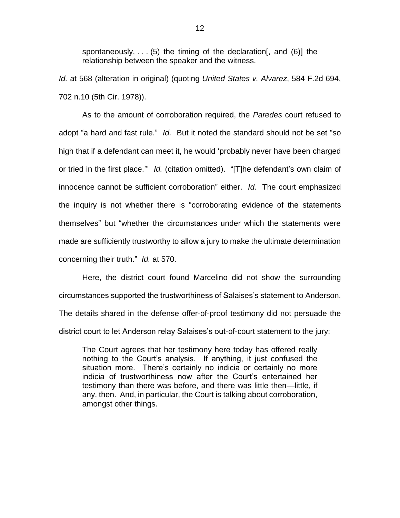spontaneously,  $\ldots$  (5) the timing of the declaration [, and (6)] the relationship between the speaker and the witness.

*Id.* at 568 (alteration in original) (quoting *United States v. Alvarez*, 584 F.2d 694, 702 n.10 (5th Cir. 1978)).

As to the amount of corroboration required, the *Paredes* court refused to adopt "a hard and fast rule." *Id.* But it noted the standard should not be set "so high that if a defendant can meet it, he would 'probably never have been charged or tried in the first place.'" *Id.* (citation omitted). "[T]he defendant's own claim of innocence cannot be sufficient corroboration" either. *Id.* The court emphasized the inquiry is not whether there is "corroborating evidence of the statements themselves" but "whether the circumstances under which the statements were made are sufficiently trustworthy to allow a jury to make the ultimate determination concerning their truth." *Id.* at 570.

Here, the district court found Marcelino did not show the surrounding circumstances supported the trustworthiness of Salaises's statement to Anderson. The details shared in the defense offer-of-proof testimony did not persuade the district court to let Anderson relay Salaises's out-of-court statement to the jury:

The Court agrees that her testimony here today has offered really nothing to the Court's analysis. If anything, it just confused the situation more. There's certainly no indicia or certainly no more indicia of trustworthiness now after the Court's entertained her testimony than there was before, and there was little then—little, if any, then. And, in particular, the Court is talking about corroboration, amongst other things.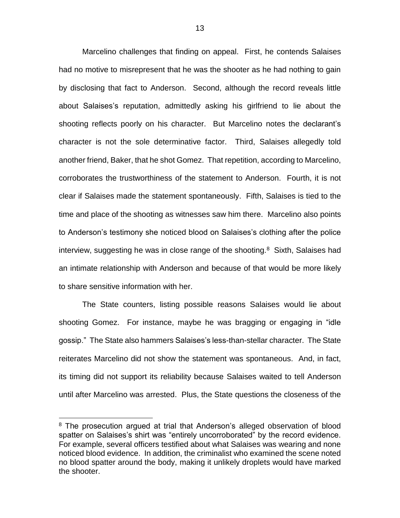Marcelino challenges that finding on appeal. First, he contends Salaises had no motive to misrepresent that he was the shooter as he had nothing to gain by disclosing that fact to Anderson. Second, although the record reveals little about Salaises's reputation, admittedly asking his girlfriend to lie about the shooting reflects poorly on his character. But Marcelino notes the declarant's character is not the sole determinative factor. Third, Salaises allegedly told another friend, Baker, that he shot Gomez. That repetition, according to Marcelino, corroborates the trustworthiness of the statement to Anderson. Fourth, it is not clear if Salaises made the statement spontaneously. Fifth, Salaises is tied to the time and place of the shooting as witnesses saw him there. Marcelino also points to Anderson's testimony she noticed blood on Salaises's clothing after the police interview, suggesting he was in close range of the shooting.<sup>8</sup> Sixth, Salaises had an intimate relationship with Anderson and because of that would be more likely to share sensitive information with her.

The State counters, listing possible reasons Salaises would lie about shooting Gomez. For instance, maybe he was bragging or engaging in "idle gossip." The State also hammers Salaises's less-than-stellar character. The State reiterates Marcelino did not show the statement was spontaneous. And, in fact, its timing did not support its reliability because Salaises waited to tell Anderson until after Marcelino was arrested. Plus, the State questions the closeness of the

<sup>&</sup>lt;sup>8</sup> The prosecution argued at trial that Anderson's alleged observation of blood spatter on Salaises's shirt was "entirely uncorroborated" by the record evidence. For example, several officers testified about what Salaises was wearing and none noticed blood evidence. In addition, the criminalist who examined the scene noted no blood spatter around the body, making it unlikely droplets would have marked the shooter.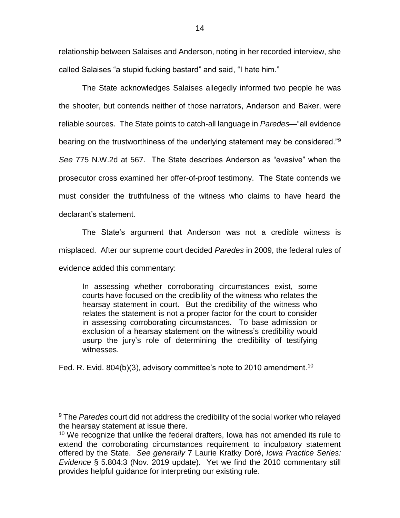relationship between Salaises and Anderson, noting in her recorded interview, she called Salaises "a stupid fucking bastard" and said, "I hate him."

 The State acknowledges Salaises allegedly informed two people he was the shooter, but contends neither of those narrators, Anderson and Baker, were reliable sources. The State points to catch-all language in *Paredes*—"all evidence bearing on the trustworthiness of the underlying statement may be considered."<sup>9</sup> *See* 775 N.W.2d at 567. The State describes Anderson as "evasive" when the prosecutor cross examined her offer-of-proof testimony. The State contends we must consider the truthfulness of the witness who claims to have heard the declarant's statement.

The State's argument that Anderson was not a credible witness is misplaced. After our supreme court decided *Paredes* in 2009, the federal rules of evidence added this commentary:

In assessing whether corroborating circumstances exist, some courts have focused on the credibility of the witness who relates the hearsay statement in court. But the credibility of the witness who relates the statement is not a proper factor for the court to consider in assessing corroborating circumstances. To base admission or exclusion of a hearsay statement on the witness's credibility would usurp the jury's role of determining the credibility of testifying witnesses.

Fed. R. Evid. 804(b)(3), advisory committee's note to 2010 amendment.<sup>10</sup>

<sup>9</sup> The *Paredes* court did not address the credibility of the social worker who relayed the hearsay statement at issue there.

<sup>&</sup>lt;sup>10</sup> We recognize that unlike the federal drafters, lowa has not amended its rule to extend the corroborating circumstances requirement to inculpatory statement offered by the State. *See generally* 7 Laurie Kratky Doré, *Iowa Practice Series: Evidence* § 5.804:3 (Nov. 2019 update). Yet we find the 2010 commentary still provides helpful guidance for interpreting our existing rule.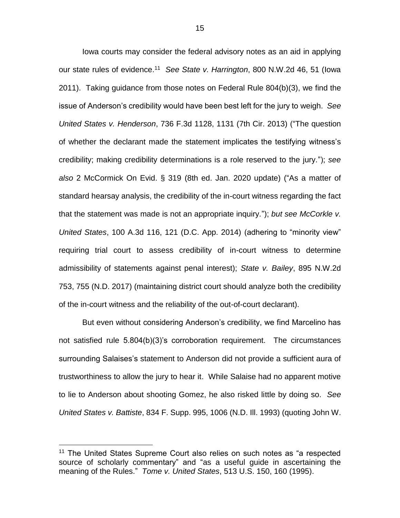Iowa courts may consider the federal advisory notes as an aid in applying our state rules of evidence.<sup>11</sup> *See State v. Harrington*, 800 N.W.2d 46, 51 (Iowa 2011). Taking guidance from those notes on Federal Rule 804(b)(3), we find the issue of Anderson's credibility would have been best left for the jury to weigh. *See United States v. Henderson*, 736 F.3d 1128, 1131 (7th Cir. 2013) ("The question of whether the declarant made the statement implicates the testifying witness's credibility; making credibility determinations is a role reserved to the jury."); *see also* 2 McCormick On Evid. § 319 (8th ed. Jan. 2020 update) ("As a matter of standard hearsay analysis, the credibility of the in-court witness regarding the fact that the statement was made is not an appropriate inquiry."); *but see McCorkle v. United States*, 100 A.3d 116, 121 (D.C. App. 2014) (adhering to "minority view" requiring trial court to assess credibility of in-court witness to determine admissibility of statements against penal interest); *State v. Bailey*, 895 N.W.2d 753, 755 (N.D. 2017) (maintaining district court should analyze both the credibility of the in-court witness and the reliability of the out-of-court declarant).

But even without considering Anderson's credibility, we find Marcelino has not satisfied rule 5.804(b)(3)'s corroboration requirement. The circumstances surrounding Salaises's statement to Anderson did not provide a sufficient aura of trustworthiness to allow the jury to hear it. While Salaise had no apparent motive to lie to Anderson about shooting Gomez, he also risked little by doing so. *See United States v. Battiste*, 834 F. Supp. 995, 1006 (N.D. Ill. 1993) (quoting John W.

<sup>&</sup>lt;sup>11</sup> The United States Supreme Court also relies on such notes as "a respected source of scholarly commentary" and "as a useful guide in ascertaining the meaning of the Rules." *Tome v. United States*, 513 U.S. 150, 160 (1995).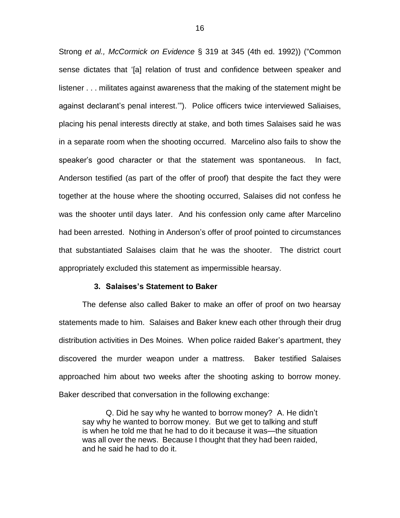Strong *et al., McCormick on Evidence* § 319 at 345 (4th ed. 1992)) ("Common sense dictates that '[a] relation of trust and confidence between speaker and listener . . . militates against awareness that the making of the statement might be against declarant's penal interest.'"). Police officers twice interviewed Saliaises, placing his penal interests directly at stake, and both times Salaises said he was in a separate room when the shooting occurred. Marcelino also fails to show the speaker's good character or that the statement was spontaneous. In fact, Anderson testified (as part of the offer of proof) that despite the fact they were together at the house where the shooting occurred, Salaises did not confess he was the shooter until days later. And his confession only came after Marcelino had been arrested. Nothing in Anderson's offer of proof pointed to circumstances that substantiated Salaises claim that he was the shooter. The district court appropriately excluded this statement as impermissible hearsay.

### **3. Salaises's Statement to Baker**

The defense also called Baker to make an offer of proof on two hearsay statements made to him. Salaises and Baker knew each other through their drug distribution activities in Des Moines. When police raided Baker's apartment, they discovered the murder weapon under a mattress. Baker testified Salaises approached him about two weeks after the shooting asking to borrow money. Baker described that conversation in the following exchange:

Q. Did he say why he wanted to borrow money? A. He didn't say why he wanted to borrow money. But we get to talking and stuff is when he told me that he had to do it because it was—the situation was all over the news. Because I thought that they had been raided, and he said he had to do it.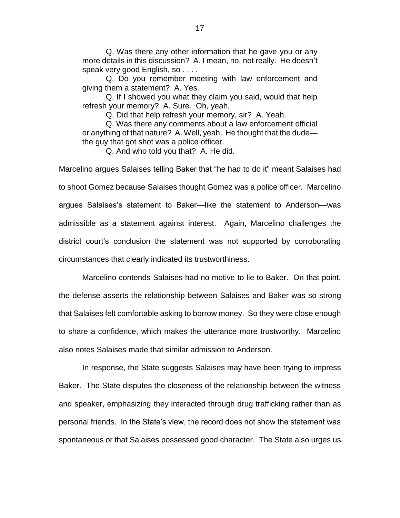Q. Was there any other information that he gave you or any more details in this discussion? A. I mean, no, not really. He doesn't speak very good English, so . . . .

Q. Do you remember meeting with law enforcement and giving them a statement? A. Yes.

Q. If I showed you what they claim you said, would that help refresh your memory? A. Sure. Oh, yeah.

Q. Did that help refresh your memory, sir? A. Yeah.

Q. Was there any comments about a law enforcement official or anything of that nature? A. Well, yeah. He thought that the dude the guy that got shot was a police officer.

Q. And who told you that? A. He did.

Marcelino argues Salaises telling Baker that "he had to do it" meant Salaises had to shoot Gomez because Salaises thought Gomez was a police officer. Marcelino argues Salaises's statement to Baker—like the statement to Anderson—was admissible as a statement against interest. Again, Marcelino challenges the district court's conclusion the statement was not supported by corroborating circumstances that clearly indicated its trustworthiness.

Marcelino contends Salaises had no motive to lie to Baker. On that point, the defense asserts the relationship between Salaises and Baker was so strong that Salaises felt comfortable asking to borrow money. So they were close enough to share a confidence, which makes the utterance more trustworthy. Marcelino also notes Salaises made that similar admission to Anderson.

In response, the State suggests Salaises may have been trying to impress Baker. The State disputes the closeness of the relationship between the witness and speaker, emphasizing they interacted through drug trafficking rather than as personal friends. In the State's view, the record does not show the statement was spontaneous or that Salaises possessed good character. The State also urges us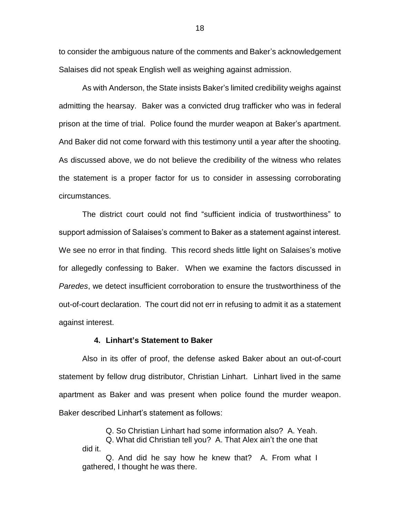to consider the ambiguous nature of the comments and Baker's acknowledgement Salaises did not speak English well as weighing against admission.

As with Anderson, the State insists Baker's limited credibility weighs against admitting the hearsay. Baker was a convicted drug trafficker who was in federal prison at the time of trial. Police found the murder weapon at Baker's apartment. And Baker did not come forward with this testimony until a year after the shooting. As discussed above, we do not believe the credibility of the witness who relates the statement is a proper factor for us to consider in assessing corroborating circumstances.

The district court could not find "sufficient indicia of trustworthiness" to support admission of Salaises's comment to Baker as a statement against interest. We see no error in that finding. This record sheds little light on Salaises's motive for allegedly confessing to Baker. When we examine the factors discussed in *Paredes*, we detect insufficient corroboration to ensure the trustworthiness of the out-of-court declaration. The court did not err in refusing to admit it as a statement against interest.

#### **4. Linhart's Statement to Baker**

Also in its offer of proof, the defense asked Baker about an out-of-court statement by fellow drug distributor, Christian Linhart. Linhart lived in the same apartment as Baker and was present when police found the murder weapon. Baker described Linhart's statement as follows:

Q. So Christian Linhart had some information also? A. Yeah.

Q. What did Christian tell you? A. That Alex ain't the one that did it.

Q. And did he say how he knew that? A. From what I gathered, I thought he was there.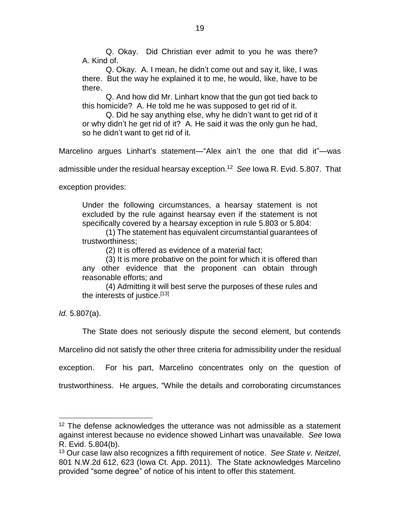Q. Okay. Did Christian ever admit to you he was there? A. Kind of.

Q. Okay. A. I mean, he didn't come out and say it, like, I was there. But the way he explained it to me, he would, like, have to be there.

Q. And how did Mr. Linhart know that the gun got tied back to this homicide? A. He told me he was supposed to get rid of it.

Q. Did he say anything else, why he didn't want to get rid of it or why didn't he get rid of it? A. He said it was the only gun he had, so he didn't want to get rid of it.

Marcelino argues Linhart's statement—"Alex ain't the one that did it"—was

admissible under the residual hearsay exception.<sup>12</sup> *See* Iowa R. Evid. 5.807. That

exception provides:

Under the following circumstances, a hearsay statement is not excluded by the rule against hearsay even if the statement is not specifically covered by a hearsay exception in rule 5.803 or 5.804:

(1) The statement has equivalent circumstantial guarantees of trustworthiness;

(2) It is offered as evidence of a material fact;

(3) It is more probative on the point for which it is offered than any other evidence that the proponent can obtain through reasonable efforts; and

(4) Admitting it will best serve the purposes of these rules and the interests of justice.<sup>[13]</sup>

*Id.* 5.807(a).

 $\overline{a}$ 

The State does not seriously dispute the second element, but contends

Marcelino did not satisfy the other three criteria for admissibility under the residual

exception. For his part, Marcelino concentrates only on the question of

trustworthiness. He argues, "While the details and corroborating circumstances

<sup>&</sup>lt;sup>12</sup> The defense acknowledges the utterance was not admissible as a statement against interest because no evidence showed Linhart was unavailable. *See* Iowa R. Evid. 5.804(b).

<sup>13</sup> Our case law also recognizes a fifth requirement of notice. *See State v. Neitzel*, 801 N.W.2d 612, 623 (Iowa Ct. App. 2011). The State acknowledges Marcelino provided "some degree" of notice of his intent to offer this statement.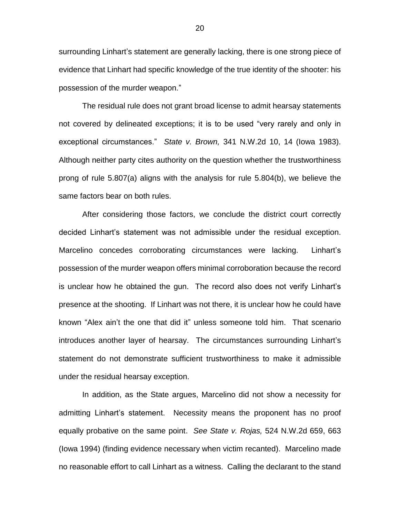surrounding Linhart's statement are generally lacking, there is one strong piece of evidence that Linhart had specific knowledge of the true identity of the shooter: his possession of the murder weapon."

The residual rule does not grant broad license to admit hearsay statements not covered by delineated exceptions; it is to be used "very rarely and only in exceptional circumstances." *State v. Brown,* 341 N.W.2d 10, 14 (Iowa 1983). Although neither party cites authority on the question whether the trustworthiness prong of rule 5.807(a) aligns with the analysis for rule 5.804(b), we believe the same factors bear on both rules.

After considering those factors, we conclude the district court correctly decided Linhart's statement was not admissible under the residual exception. Marcelino concedes corroborating circumstances were lacking. Linhart's possession of the murder weapon offers minimal corroboration because the record is unclear how he obtained the gun. The record also does not verify Linhart's presence at the shooting. If Linhart was not there, it is unclear how he could have known "Alex ain't the one that did it" unless someone told him. That scenario introduces another layer of hearsay. The circumstances surrounding Linhart's statement do not demonstrate sufficient trustworthiness to make it admissible under the residual hearsay exception.

In addition, as the State argues, Marcelino did not show a necessity for admitting Linhart's statement. Necessity means the proponent has no proof equally probative on the same point. *See State v. Rojas,* 524 N.W.2d 659, 663 (Iowa 1994) (finding evidence necessary when victim recanted). Marcelino made no reasonable effort to call Linhart as a witness. Calling the declarant to the stand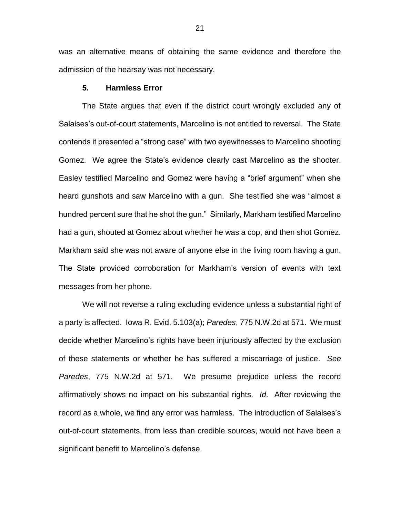was an alternative means of obtaining the same evidence and therefore the admission of the hearsay was not necessary.

# **5. Harmless Error**

The State argues that even if the district court wrongly excluded any of Salaises's out-of-court statements, Marcelino is not entitled to reversal. The State contends it presented a "strong case" with two eyewitnesses to Marcelino shooting Gomez. We agree the State's evidence clearly cast Marcelino as the shooter. Easley testified Marcelino and Gomez were having a "brief argument" when she heard gunshots and saw Marcelino with a gun. She testified she was "almost a hundred percent sure that he shot the gun." Similarly, Markham testified Marcelino had a gun, shouted at Gomez about whether he was a cop, and then shot Gomez. Markham said she was not aware of anyone else in the living room having a gun. The State provided corroboration for Markham's version of events with text messages from her phone.

We will not reverse a ruling excluding evidence unless a substantial right of a party is affected. Iowa R. Evid. 5.103(a); *Paredes*, 775 N.W.2d at 571. We must decide whether Marcelino's rights have been injuriously affected by the exclusion of these statements or whether he has suffered a miscarriage of justice. *See Paredes*, 775 N.W.2d at 571. We presume prejudice unless the record affirmatively shows no impact on his substantial rights. *Id*. After reviewing the record as a whole, we find any error was harmless. The introduction of Salaises's out-of-court statements, from less than credible sources, would not have been a significant benefit to Marcelino's defense.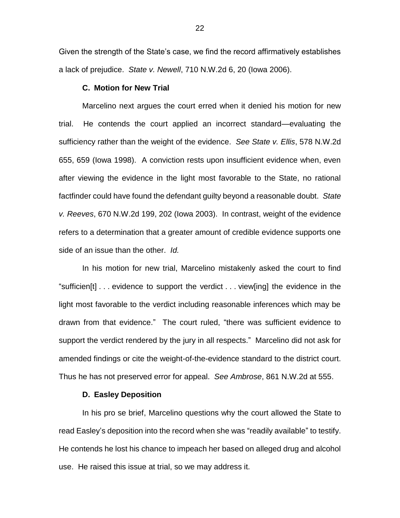Given the strength of the State's case, we find the record affirmatively establishes a lack of prejudice. *State v. Newell*, 710 N.W.2d 6, 20 (Iowa 2006).

# **C. Motion for New Trial**

Marcelino next argues the court erred when it denied his motion for new trial. He contends the court applied an incorrect standard—evaluating the sufficiency rather than the weight of the evidence. *See State v. Ellis*, 578 N.W.2d 655, 659 (Iowa 1998). A conviction rests upon insufficient evidence when, even after viewing the evidence in the light most favorable to the State, no rational factfinder could have found the defendant guilty beyond a reasonable doubt. *State v. Reeves*, 670 N.W.2d 199, 202 (Iowa 2003). In contrast, weight of the evidence refers to a determination that a greater amount of credible evidence supports one side of an issue than the other. *Id.*

In his motion for new trial, Marcelino mistakenly asked the court to find "sufficien[t] . . . evidence to support the verdict . . . view[ing] the evidence in the light most favorable to the verdict including reasonable inferences which may be drawn from that evidence." The court ruled, "there was sufficient evidence to support the verdict rendered by the jury in all respects." Marcelino did not ask for amended findings or cite the weight-of-the-evidence standard to the district court. Thus he has not preserved error for appeal. *See Ambrose*, 861 N.W.2d at 555.

# **D. Easley Deposition**

In his pro se brief, Marcelino questions why the court allowed the State to read Easley's deposition into the record when she was "readily available" to testify. He contends he lost his chance to impeach her based on alleged drug and alcohol use. He raised this issue at trial, so we may address it.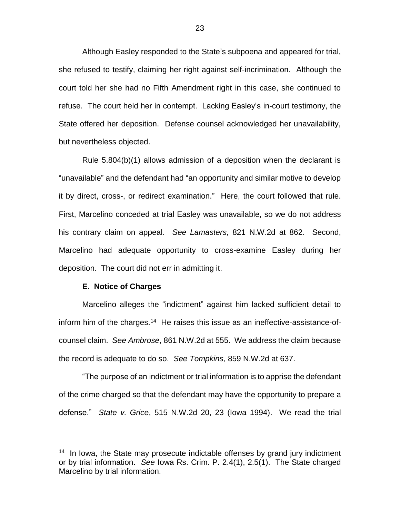Although Easley responded to the State's subpoena and appeared for trial, she refused to testify, claiming her right against self-incrimination. Although the court told her she had no Fifth Amendment right in this case, she continued to refuse. The court held her in contempt. Lacking Easley's in-court testimony, the State offered her deposition. Defense counsel acknowledged her unavailability, but nevertheless objected.

Rule 5.804(b)(1) allows admission of a deposition when the declarant is "unavailable" and the defendant had "an opportunity and similar motive to develop it by direct, cross-, or redirect examination." Here, the court followed that rule. First, Marcelino conceded at trial Easley was unavailable, so we do not address his contrary claim on appeal. *See Lamasters*, 821 N.W.2d at 862. Second, Marcelino had adequate opportunity to cross-examine Easley during her deposition. The court did not err in admitting it.

#### **E. Notice of Charges**

 $\overline{a}$ 

Marcelino alleges the "indictment" against him lacked sufficient detail to inform him of the charges.<sup>14</sup> He raises this issue as an ineffective-assistance-ofcounsel claim. *See Ambrose*, 861 N.W.2d at 555. We address the claim because the record is adequate to do so. *See Tompkins*, 859 N.W.2d at 637.

"The purpose of an indictment or trial information is to apprise the defendant of the crime charged so that the defendant may have the opportunity to prepare a defense." *State v. Grice*, 515 N.W.2d 20, 23 (Iowa 1994). We read the trial

<sup>&</sup>lt;sup>14</sup> In Iowa, the State may prosecute indictable offenses by grand jury indictment or by trial information. *See* Iowa Rs. Crim. P. 2.4(1), 2.5(1). The State charged Marcelino by trial information.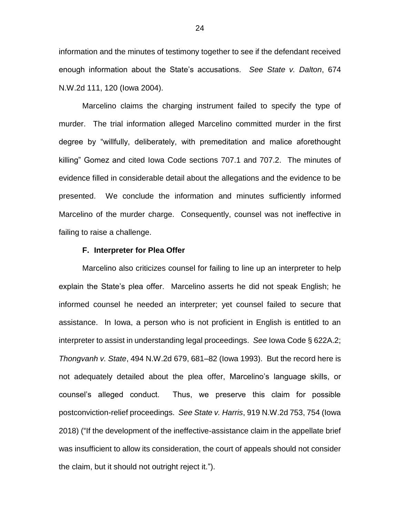information and the minutes of testimony together to see if the defendant received enough information about the State's accusations. *See State v. Dalton*, 674 N.W.2d 111, 120 (Iowa 2004).

Marcelino claims the charging instrument failed to specify the type of murder. The trial information alleged Marcelino committed murder in the first degree by "willfully, deliberately, with premeditation and malice aforethought killing" Gomez and cited Iowa Code sections 707.1 and 707.2. The minutes of evidence filled in considerable detail about the allegations and the evidence to be presented. We conclude the information and minutes sufficiently informed Marcelino of the murder charge. Consequently, counsel was not ineffective in failing to raise a challenge.

#### **F. Interpreter for Plea Offer**

Marcelino also criticizes counsel for failing to line up an interpreter to help explain the State's plea offer. Marcelino asserts he did not speak English; he informed counsel he needed an interpreter; yet counsel failed to secure that assistance. In Iowa, a person who is not proficient in English is entitled to an interpreter to assist in understanding legal proceedings. *See* Iowa Code § 622A.2; *Thongvanh v. State*, 494 N.W.2d 679, 681–82 (Iowa 1993). But the record here is not adequately detailed about the plea offer, Marcelino's language skills, or counsel's alleged conduct. Thus, we preserve this claim for possible postconviction-relief proceedings. *See State v. Harris*, 919 N.W.2d 753, 754 (Iowa 2018) ("If the development of the ineffective-assistance claim in the appellate brief was insufficient to allow its consideration, the court of appeals should not consider the claim, but it should not outright reject it.").